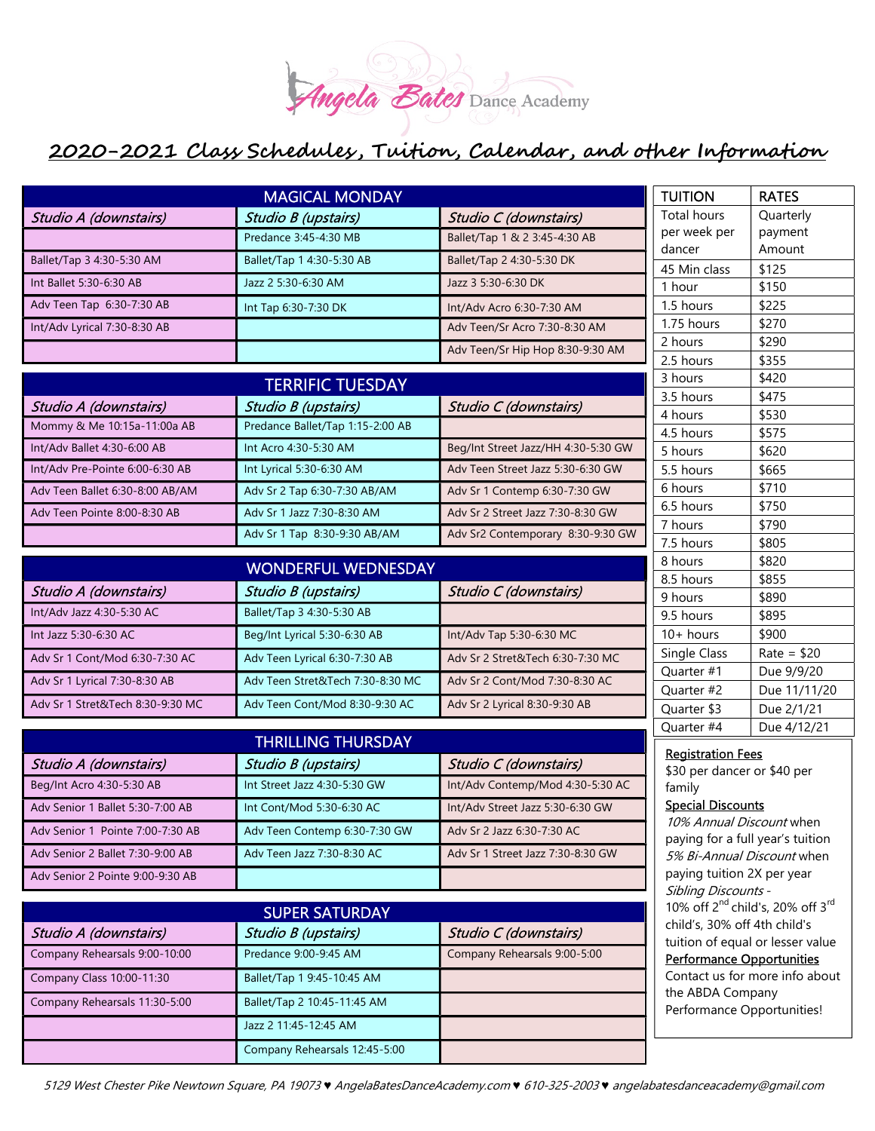

| <b>MAGICAL MONDAY</b>            |                                  |                                                                                          | <b>TUITION</b>                                                                                                                   | <b>RATES</b>               |
|----------------------------------|----------------------------------|------------------------------------------------------------------------------------------|----------------------------------------------------------------------------------------------------------------------------------|----------------------------|
| Studio A (downstairs)            | Studio B (upstairs)              | Studio C (downstairs)                                                                    | <b>Total hours</b>                                                                                                               | Quarterly                  |
|                                  | Predance 3:45-4:30 MB            | Ballet/Tap 1 & 2 3:45-4:30 AB                                                            | per week per                                                                                                                     | payment                    |
| Ballet/Tap 3 4:30-5:30 AM        | Ballet/Tap 1 4:30-5:30 AB        | Ballet/Tap 2 4:30-5:30 DK                                                                | dancer<br>45 Min class                                                                                                           | Amount<br>\$125            |
| Int Ballet 5:30-6:30 AB          | Jazz 2 5:30-6:30 AM              | Jazz 3 5:30-6:30 DK                                                                      | 1 hour                                                                                                                           | \$150                      |
| Adv Teen Tap 6:30-7:30 AB        | Int Tap 6:30-7:30 DK             | Int/Adv Acro 6:30-7:30 AM                                                                | 1.5 hours                                                                                                                        | \$225                      |
| Int/Adv Lyrical 7:30-8:30 AB     |                                  | Adv Teen/Sr Acro 7:30-8:30 AM                                                            | 1.75 hours                                                                                                                       | \$270                      |
|                                  |                                  | Adv Teen/Sr Hip Hop 8:30-9:30 AM                                                         | 2 hours                                                                                                                          | \$290                      |
|                                  |                                  |                                                                                          | 2.5 hours                                                                                                                        | \$355                      |
| <b>TERRIFIC TUESDAY</b>          |                                  |                                                                                          | 3 hours<br>3.5 hours                                                                                                             | \$420<br>\$475             |
| Studio A (downstairs)            | Studio B (upstairs)              | Studio C (downstairs)                                                                    | 4 hours                                                                                                                          | \$530                      |
| Mommy & Me 10:15a-11:00a AB      | Predance Ballet/Tap 1:15-2:00 AB |                                                                                          | 4.5 hours                                                                                                                        | \$575                      |
| Int/Adv Ballet 4:30-6:00 AB      | Int Acro 4:30-5:30 AM            | Beg/Int Street Jazz/HH 4:30-5:30 GW                                                      | 5 hours                                                                                                                          | \$620                      |
| Int/Adv Pre-Pointe 6:00-6:30 AB  | Int Lyrical 5:30-6:30 AM         | Adv Teen Street Jazz 5:30-6:30 GW                                                        | 5.5 hours                                                                                                                        | \$665                      |
| Adv Teen Ballet 6:30-8:00 AB/AM  | Adv Sr 2 Tap 6:30-7:30 AB/AM     | Adv Sr 1 Contemp 6:30-7:30 GW                                                            | 6 hours                                                                                                                          | \$710                      |
| Adv Teen Pointe 8:00-8:30 AB     | Adv Sr 1 Jazz 7:30-8:30 AM       | Adv Sr 2 Street Jazz 7:30-8:30 GW                                                        | 6.5 hours<br>7 hours                                                                                                             | \$750                      |
|                                  | Adv Sr 1 Tap 8:30-9:30 AB/AM     | Adv Sr2 Contemporary 8:30-9:30 GW                                                        | 7.5 hours                                                                                                                        | \$790<br>\$805             |
|                                  |                                  |                                                                                          | 8 hours                                                                                                                          | \$820                      |
|                                  | <b>WONDERFUL WEDNESDAY</b>       |                                                                                          | 8.5 hours                                                                                                                        | \$855                      |
| Studio A (downstairs)            | Studio B (upstairs)              | Studio C (downstairs)                                                                    | 9 hours                                                                                                                          | \$890                      |
| Int/Adv Jazz 4:30-5:30 AC        | Ballet/Tap 3 4:30-5:30 AB        |                                                                                          | 9.5 hours                                                                                                                        | \$895                      |
| Int Jazz 5:30-6:30 AC            | Beg/Int Lyrical 5:30-6:30 AB     | Int/Adv Tap 5:30-6:30 MC                                                                 | $10+$ hours                                                                                                                      | \$900                      |
| Adv Sr 1 Cont/Mod 6:30-7:30 AC   | Adv Teen Lyrical 6:30-7:30 AB    | Adv Sr 2 Stret&Tech 6:30-7:30 MC                                                         | Single Class                                                                                                                     | $Rate = $20$               |
| Adv Sr 1 Lyrical 7:30-8:30 AB    | Adv Teen Stret&Tech 7:30-8:30 MC | Adv Sr 2 Cont/Mod 7:30-8:30 AC                                                           | Quarter #1<br>Quarter #2                                                                                                         | Due 9/9/20<br>Due 11/11/20 |
| Adv Sr 1 Stret&Tech 8:30-9:30 MC | Adv Teen Cont/Mod 8:30-9:30 AC   | Adv Sr 2 Lyrical 8:30-9:30 AB                                                            | Quarter \$3                                                                                                                      | Due 2/1/21                 |
|                                  |                                  |                                                                                          | Quarter #4                                                                                                                       | Due 4/12/21                |
| <b>THRILLING THURSDAY</b>        |                                  |                                                                                          |                                                                                                                                  |                            |
| Studio A (downstairs)            | Studio B (upstairs)              | Studio C (downstairs)                                                                    | <b>Registration Fees</b><br>\$30 per dancer or \$40 per                                                                          |                            |
| Beg/Int Acro 4:30-5:30 AB        | Int Street Jazz 4:30-5:30 GW     | Int/Adv Contemp/Mod 4:30-5:30 AC                                                         | family<br><b>Special Discounts</b><br>10% Annual Discount when<br>paying for a full year's tuition<br>5% Bi-Annual Discount when |                            |
| Adv Senior 1 Ballet 5:30-7:00 AB | Int Cont/Mod 5:30-6:30 AC        | Int/Adv Street Jazz 5:30-6:30 GW                                                         |                                                                                                                                  |                            |
| Adv Senior 1 Pointe 7:00-7:30 AB | Adv Teen Contemp 6:30-7:30 GW    | Adv Sr 2 Jazz 6:30-7:30 AC                                                               |                                                                                                                                  |                            |
| Adv Senior 2 Ballet 7:30-9:00 AB | Adv Teen Jazz 7:30-8:30 AC       | Adv Sr 1 Street Jazz 7:30-8:30 GW                                                        |                                                                                                                                  |                            |
| Adv Senior 2 Pointe 9:00-9:30 AB |                                  |                                                                                          | paying tuition 2X per year                                                                                                       |                            |
|                                  |                                  |                                                                                          | Sibling Discounts -                                                                                                              |                            |
| <b>SUPER SATURDAY</b>            |                                  | 10% off 2 <sup>nd</sup> child's, 20% off 3 <sup>rd</sup><br>child's, 30% off 4th child's |                                                                                                                                  |                            |
| Studio A (downstairs)            | Studio B (upstairs)              | Studio C (downstairs)                                                                    | tuition of equal or lesser value                                                                                                 |                            |
| Company Rehearsals 9:00-10:00    | Predance 9:00-9:45 AM            | Company Rehearsals 9:00-5:00                                                             | <b>Performance Opportunities</b>                                                                                                 |                            |
| Company Class 10:00-11:30        | Ballet/Tap 1 9:45-10:45 AM       |                                                                                          | Contact us for more info about<br>the ABDA Company<br>Performance Opportunities!                                                 |                            |
| Company Rehearsals 11:30-5:00    | Ballet/Tap 2 10:45-11:45 AM      |                                                                                          |                                                                                                                                  |                            |
|                                  | Jazz 2 11:45-12:45 AM            |                                                                                          |                                                                                                                                  |                            |
|                                  | Company Rehearsals 12:45-5:00    |                                                                                          |                                                                                                                                  |                            |
|                                  |                                  |                                                                                          |                                                                                                                                  |                            |

5129 West Chester Pike Newtown Square, PA 19073 ♥ AngelaBatesDanceAcademy.com ♥ 610-325-2003 ♥ angelabatesdanceacademy@gmail.com